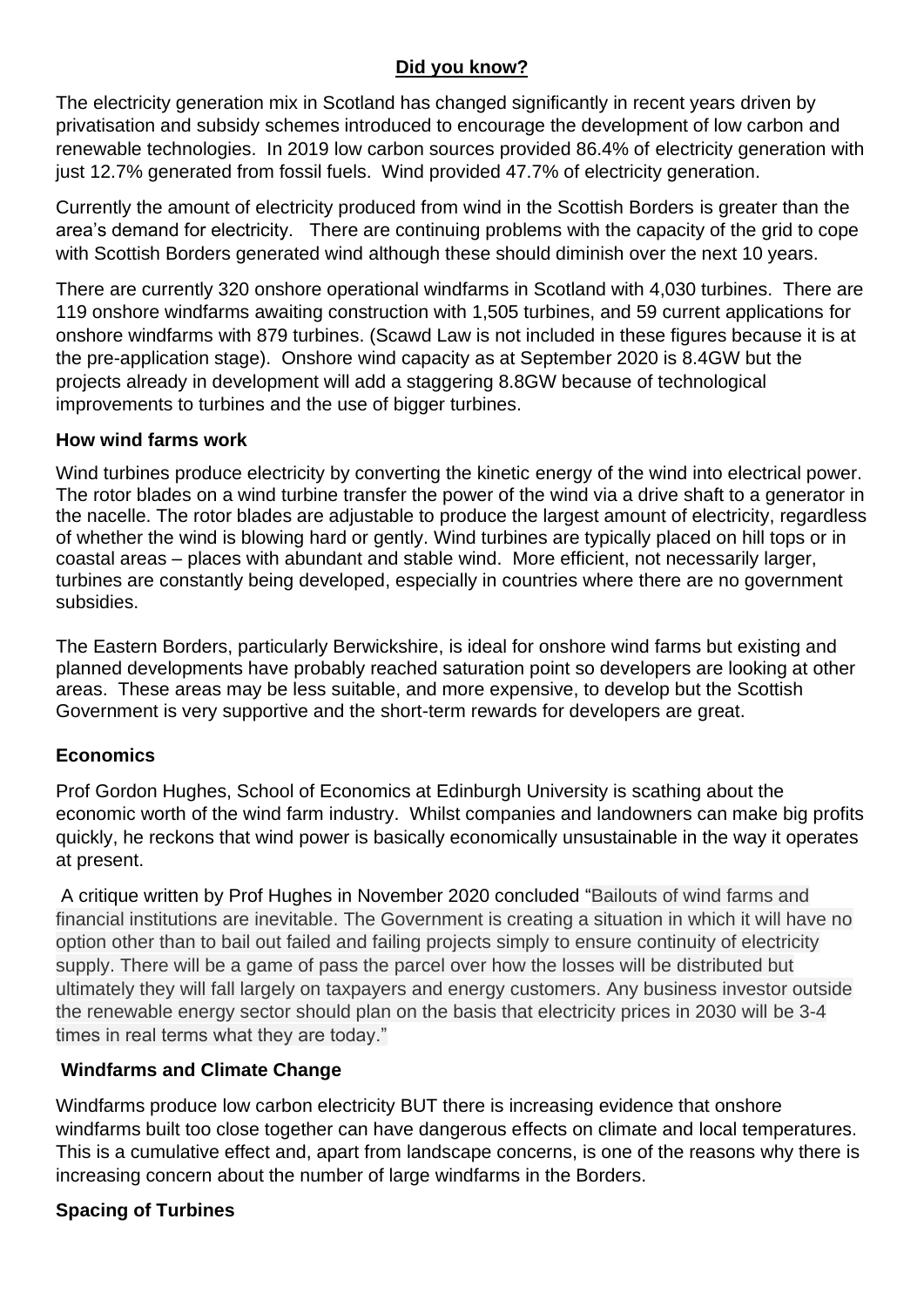# **Did you know?**

The electricity generation mix in Scotland has changed significantly in recent years driven by privatisation and subsidy schemes introduced to encourage the development of low carbon and renewable technologies. In 2019 low carbon sources provided 86.4% of electricity generation with just 12.7% generated from fossil fuels. Wind provided 47.7% of electricity generation.

Currently the amount of electricity produced from wind in the Scottish Borders is greater than the area's demand for electricity. There are continuing problems with the capacity of the grid to cope with Scottish Borders generated wind although these should diminish over the next 10 years.

There are currently 320 onshore operational windfarms in Scotland with 4,030 turbines. There are 119 onshore windfarms awaiting construction with 1,505 turbines, and 59 current applications for onshore windfarms with 879 turbines. (Scawd Law is not included in these figures because it is at the pre-application stage). Onshore wind capacity as at September 2020 is 8.4GW but the projects already in development will add a staggering 8.8GW because of technological improvements to turbines and the use of bigger turbines.

### **How wind farms work**

Wind turbines produce electricity by converting the kinetic energy of the wind into electrical power. The rotor blades on a wind turbine transfer the power of the wind via a drive shaft to a generator in the nacelle. The rotor blades are adjustable to produce the largest amount of electricity, regardless of whether the wind is blowing hard or gently. Wind turbines are typically placed on hill tops or in coastal areas – places with abundant and stable wind. More efficient, not necessarily larger, turbines are constantly being developed, especially in countries where there are no government subsidies.

The Eastern Borders, particularly Berwickshire, is ideal for onshore wind farms but existing and planned developments have probably reached saturation point so developers are looking at other areas. These areas may be less suitable, and more expensive, to develop but the Scottish Government is very supportive and the short-term rewards for developers are great.

### **Economics**

Prof Gordon Hughes, School of Economics at Edinburgh University is scathing about the economic worth of the wind farm industry. Whilst companies and landowners can make big profits quickly, he reckons that wind power is basically economically unsustainable in the way it operates at present.

A critique written by Prof Hughes in November 2020 concluded "Bailouts of wind farms and financial institutions are inevitable. The Government is creating a situation in which it will have no option other than to bail out failed and failing projects simply to ensure continuity of electricity supply. There will be a game of pass the parcel over how the losses will be distributed but ultimately they will fall largely on taxpayers and energy customers. Any business investor outside the renewable energy sector should plan on the basis that electricity prices in 2030 will be 3-4 times in real terms what they are today."

### **Windfarms and Climate Change**

Windfarms produce low carbon electricity BUT there is increasing evidence that onshore windfarms built too close together can have dangerous effects on climate and local temperatures. This is a cumulative effect and, apart from landscape concerns, is one of the reasons why there is increasing concern about the number of large windfarms in the Borders.

### **Spacing of Turbines**